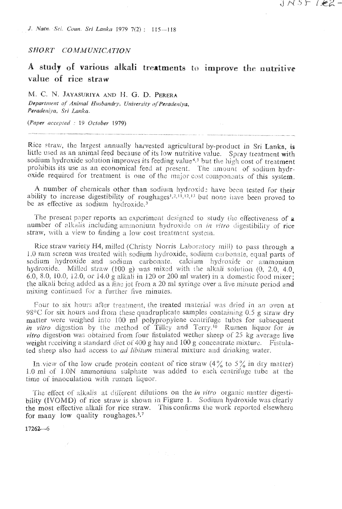J. Natn. Sei. Coun. Sri Lanka 1979 7(2) : 115--118

SHORT COMMUNICATION

## A study of various alkali treatments to improve the nutritive value of rice straw

イバった (をるー

M. C. N. JAYASURIYA AND H. G. D. PERERA Department of Animal Husbandry, University of Peradeniya. Peradeniva, Sri Lanka.

(Paper accepted : 19 October 1979).

Rice straw, the largest annually harvested agricultural by-product in Sri Lanka, is little used as an animal feed because of its low nutritive value. Spray treatment with sodium hydroxide solution improves its feeding value<sup>4,5</sup> but the high cost of treatment prohibits its use as an economical feed at present. The amount of sodium hydroxide required for treatment is one of the major cost components of this system.

A number of chemicals other than sodium hydroxide have been tested for their ability to increase digestibility of roughages<sup> $1,2,11,12,13$ </sup> but none have been proved to be as effective as sodium hydroxide.<sup>3</sup>

The present paper reports an experiment designed to study the effectiveness of a number of alkalis including ammonium hydroxide on in vitro digestibility of rice straw, with a view to finding a low cost treatment system.

Rice straw variety H4, milled (Christy Norris Laboratory mill) to pass through a 1.0 mm screen was treated with sodium hydroxide, sodium carbonate, equal parts of sodium hydroxide and sodium carbonate, calcium hydroxide or ammonium hydroxide. Milled straw (100 g) was mixed with the alkali solution  $(0, 2.0, 4.0, 1.0)$ 6.0, 8.0, 10.0, 12.0, or 14.0 g alkali in 120 or 200 ml water) in a domestic food mixer. the alkali being added as a fine jet from a 20 ml syringe over a five minute period and mixing continued for a further five minutes.

Four to six hours after treatment, the treated material was dried in an oven at 98°C for six hours and from these quadruplicate samples containing 0.5 g straw dry matter were weighed into 100 ml polypropylene centrifuge tubes for subsequent in vitro digestion by the method of Tilley and Terry.<sup>16</sup> Rumen liquor for in *vitro* digestion was obtained from four fistulated wether sheep of 25 kg average live weight receiving a standard diet of 400 g hay and 100 g concentrate mixture. Fistulated sheep also had access to *ad libitum* mineral mixture and drinking water.

In view of the low crude protein content of rice straw  $(4\frac{9}{6}$  to  $5\frac{9}{6}$  in dry matter) 1.0 ml of 1.0N ammonium sulphate was added to each centrifuge tube at the time of innoculation with rumen liquor.

The effect of alkalis at different dilutions on the in vitro organic matter digestibility (IVOMD) of rice straw is shown in Figure 1. Sodium hydroxide was clearly the most effective alkali for rice straw. This confirms the work reported elsewhere for many low quality roughages.<sup>3,7</sup>

 $17262 - 6$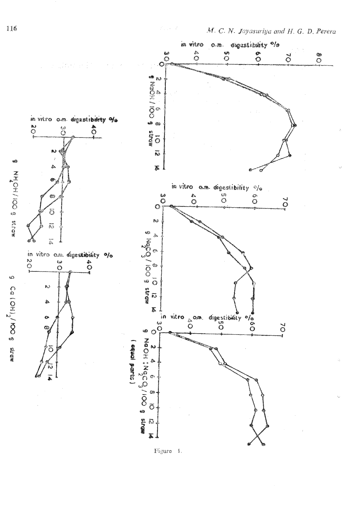

 $\mathcal{E}_{\text{max}} \geq 2$ 

Figure  $\pm$ .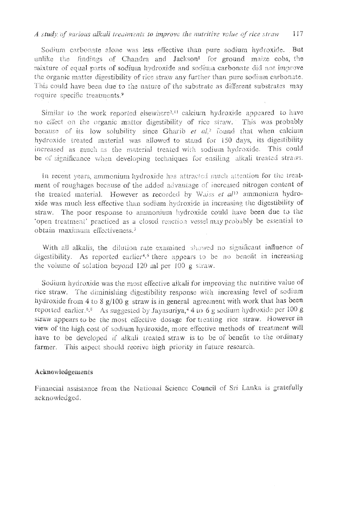## A study of various alkali treatments to improve the nutritive value of rice straw  $1!7$

Sodium carbonate alone was less effective than pure sodium hydroxide. But unlike the findings of Chandra and Jackson<sup>1</sup> for ground maize cobs, the mixture of equal parts of sodium hydroxide and sodium carbonate did not improve the organic matter digestibility of rice straw any further than pure sodium carbonate. This could have been due to the nature of the substrate as different substrates may require specific treatments.<sup>9</sup>

Similar to the work reported elsewhere<sup> $2,11$ </sup> calcium hydroxide appeared to have no effect on the organic matter digestibility of rice straw. This was probably because of its low solubility since Gharib et  $a\lambda^2$  found that when calcium hydroxide treated material was allowed to stand for 150 days, its digestibility increased as much as the material treated with sodium hydroxide. This could be of significance when developing techniques for ensiting alkali treated straws.

In recent years, ammonium hydroxide has attracted much attention for the treatment of roughages because of the added advantage of increased nitrogen content of the treated material. However as recorded by Walss et al<sup>11</sup> ammonium hydroxide was much less effective than sodium hydroxide in increasing the digestibility of straw. The poor response to ammonium hydroxide could have been due to the "open treatment" practiced as a closed reaction vessel may probably be essential to obtain maximum effectiveness.<sup>3</sup>

With all alkalis, the dilution rate examined showed no significant influence of digestibility. As reported earlier<sup>4,6</sup> there appears to be no benefit in increasing the volume of solution beyond  $120$  and per  $100$  g shraw.

Sodium hydroxide was the most effective alkali for improving the nutritive value of rice straw. The diminishing digestibility response with increasing level of sodium hydroxide from 4 to 8  $g/100 g$  straw is in general agreement with work that has been reported earlier.<sup>6,8</sup> As suggested by Jayasuriya,<sup>4</sup> 4 to 6 g sodium hydroxide per 100 g straw appears to be the most effective dosage for treating rice straw. However in view of the high cost of sodium hydroxide, more effective methods of treatment will have to be developed if alkali treated straw is to be of benefit to the ordinary farmer. This aspect should receive high priority in future research.

## Acknowledgements

Financial assistance from the National Science Council of Sri Lanka is gratefully acknowledged.